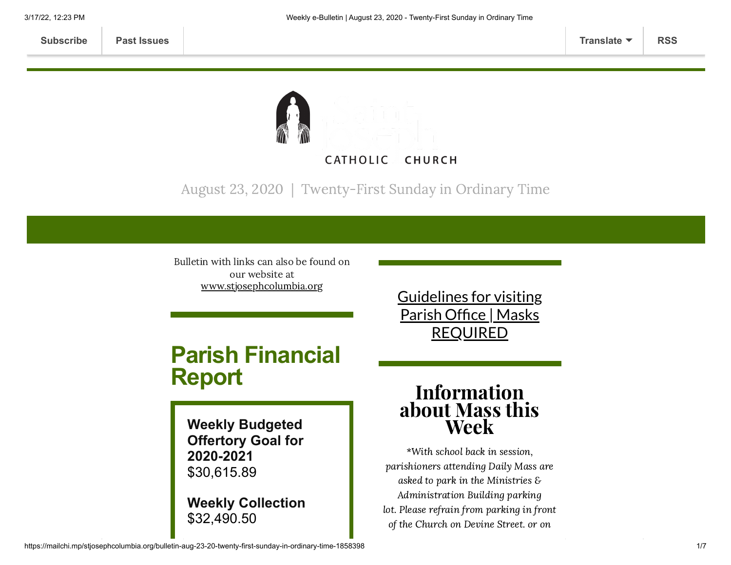

August 23, 2020 | Twenty-First Sunday in Ordinary Time

Bulletin with links can also be found on our website at [www.stjosephcolumbia.org](http://www.stjosephcolumbia.org/)

# **Parish Financial Report**

**Weekly Budgeted Offertory Goal for 2020-2021** \$30,615.89

**Weekly Collection** \$32,490.50

Guidelines for visiting Parish Office | Masks [REQUIRED](https://www.stjosephcolumbia.org/church-and-parish-office-hours)

# Information about Mass this Week

\*With school back in session, parishioners attending Daily Mass are asked to park in the Ministries & Administration Building parking lot. Please refrain from parking in front of the Church on Devine Street. or on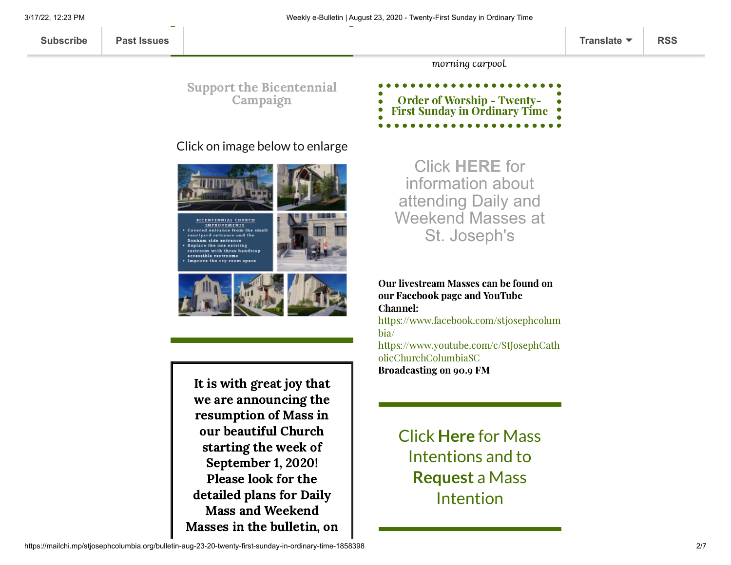3/17/22, 12:23 PM Weekly e-Bulletin | August 23, 2020 - Twenty-First Sunday in Ordinary Time

Support the [Bicentennial](https://www.stjosephcolumbia.org/bicentennial-campaign) Campaign

#### Click on image below to enlarge



**BICENTENNIAL CHURCH** IMPROVEMENTS ourlyard entrance and the Bonham side entrance Replace the one existing restroom with three handicap accessible restrooms Improve the cry room space



It is with great joy that we are announcing the resumption of Mass in our beautiful Church starting the week of September 1, 2020! Please look for the detailed plans for Daily Mass and Weekend Masses in the bulletin, on

Click **[HERE](https://www.stjosephcolumbia.org/resuming-public-masses)** for information about attending Daily and Weekend Masses at St. Joseph's

morning carpool.

Order of Worship - Twenty-First Sunday in [Ordinary](https://84aadc19-53c5-40cc-90da-b6ef66a7e382.filesusr.com/ugd/2de225_4e6594d3d6964331902e523eda71aa83.pdf) Time

Our livestream Masses can be found on our Facebook page and YouTube Channel:

[https://www.facebook.com/stjosephcolum](https://www.facebook.com/stjosephcolumbia/) bia/

[https://www.youtube.com/c/StJosephCath](https://www.youtube.com/c/StJosephCatholicChurchColumbiaSC) olicChurchColumbiaSC Broadcasting on 90.9 FM

> [Click](https://www.stjosephcolumbia.org/mass-intentions) **[Here](https://www.stjosephcolumbia.org/mass-intentions)** for Mass I[ntentions and to](https://www.stjosephcolumbia.org/mass-intention-requests) **Request** a Mass Intention

https://mailchi.mp/stjosephcolumbia.org/bulletin-aug-23-20-twenty-first-sunday-in-ordinary-time-1858398 207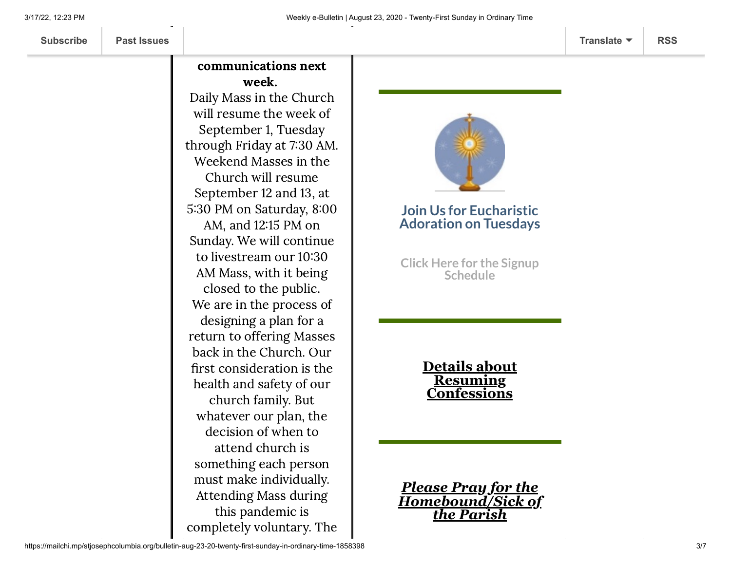### communications next week.

Daily Mass in the Church will resume the week of September 1, Tuesday through Friday at 7:30 AM. Weekend Masses in the Church will resume September 12 and 13, at 5:30 PM on Saturday, 8:00 AM, and 1215 PM on Sunday. We will continue to livestream our 10:30 AM Mass, with it being closed to the public. We are in the process of designing a plan for a return to offering Masses back in the Church. Our first consideration is the health and safety of our church family. But whatever our plan, the decision of when to attend church is something each person must make individually. Attending Mass during this pandemic is completely voluntary. The



### **Join Us for Eucharistic Adoration on Tuesdays**

**Click Here for the Signup [Schedule](https://www.stjosephcolumbia.org/copy-of-eucharistic-adoration-signu)**

> **Details about Resuming [Confessions](https://www.stjosephcolumbia.org/confessions)**

*Please Pray for the [Homebound/Sick of](https://www.stjosephcolumbia.org/pray-for-the-homebound-sick-of-pari) the Parish*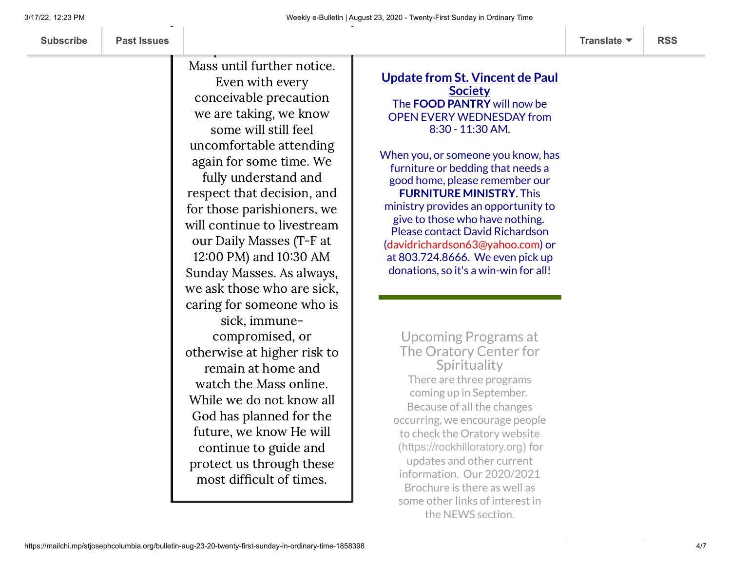Mass until further notice. Even with every conceivable precaution we are taking, we know some will still feel uncomfortable attending again for some time. We fully understand and respect that decision, and for those parishioners, we will continue to livestream our Daily Masses (T-F at 12:00 PM) and 10:30 AM Sunday Masses. As always, we ask those who are sick, caring for someone who is sick, immunecompromised, or otherwise at higher risk to remain at home and watch the Mass online. While we do not know all God has planned for the future, we know He will continue to guide and protect us through these most difficult of times.

#### **Update from St. Vincent de Paul Society** The **FOOD PANTRY** will now be OPEN EVERY WEDNESDAY from 8:30 - 11:30 AM.

When you, or someone you know, has furniture or bedding that needs a good home, please remember our **FURNITURE MINISTRY**. This ministry provides an opportunity to give to those who have nothing. Please contact David Richardson [\(davidrichardson63@yahoo.com\)](mailto:davidrichardson63@yahoo.com) or at 803.724.8666. We even pick up donations, so it's a win-win for all!

Upcoming Programs at The Oratory Center for **Spirituality** There are three programs coming up in September. Because of all the changes occurring, we encourage people to check the Oratory website [\(https://rockhilloratory.org\)](https://rockhilloratory.org/) for updates and other current information. Our 2020/2021 Brochure is there as well as some other links of interest in the NEWS section.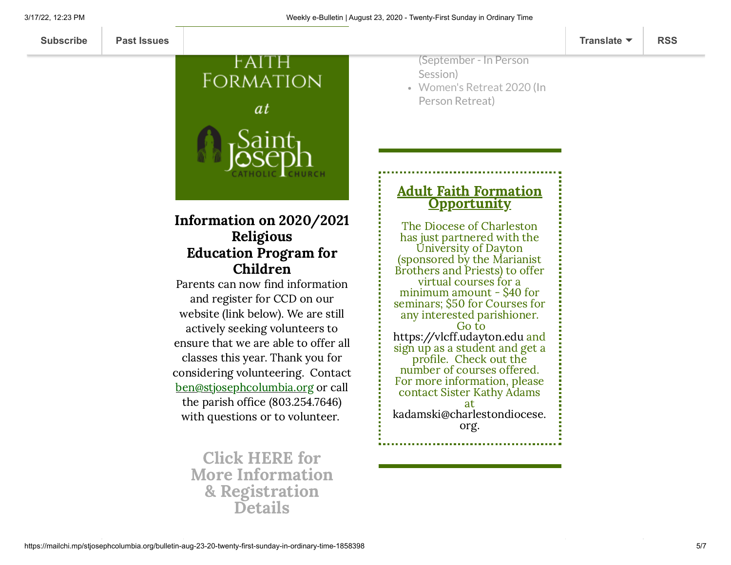

Information on 2020/2021 Religious Education Program for Children

Parents can now find information and register for CCD on our website (link below). We are still actively seeking volunteers to ensure that we are able to offer all classes this year. Thank you for considering volunteering. Contact [ben@stjosephcolumbia.org](mailto:ben@stjosephcolumbia.org) or call the parish office (803.254.7646) with questions or to volunteer.

Click HERE for More Information & [Registration](https://www.stjosephcolumbia.org/faith-formation-ccd) Details

(September - In Person Session)

[Women's](https://mcusercontent.com/7399f6b35c8ab775fb1714c3d/files/d55b82e0-01da-4e2d-83a2-c00a2b63d9d1/Women_s_Retreat_2020.pdf) Retreat 2020 (In Person Retreat)

#### Adult Faith Formation **Opportunity**

The Diocese of Charleston has just partnered with the University of Dayton (sponsored by the Marianist Brothers and Priests) to offer virtual courses for a minimum amount - \$40 for seminars; \$50 for Courses for any interested parishioner. Go to [https://vlcff.udayton.edu](https://vlcff.udayton.edu/) and sign up as a student and get a profile. Check out the number of courses offered. For more information, please contact Sister Kathy Adams at [kadamski@charlestondiocese.](mailto:kadamski@charlestondiocese.org) org.

https://mailchi.mp/stjosephcolumbia.org/bulletin-aug-23-20-twenty-first-sunday-in-ordinary-time-1858398 5/7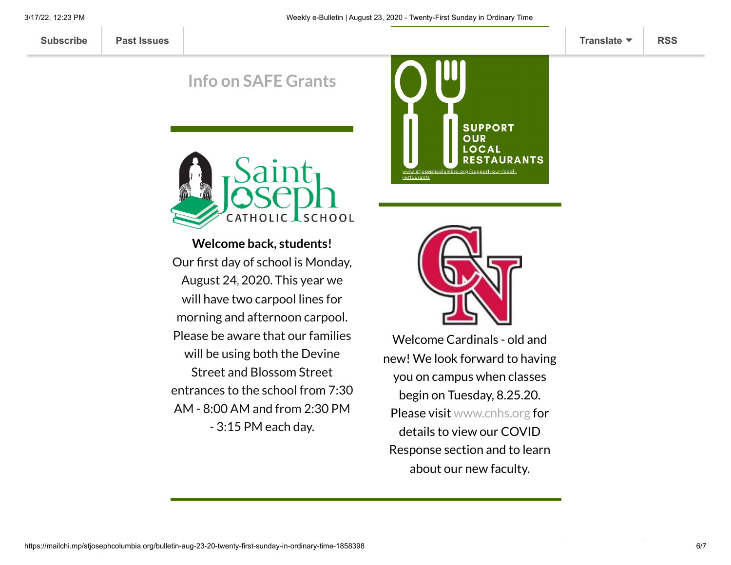**[Subscribe](http://eepurl.com/ded6Lz) [Past Issues](https://us9.campaign-archive.com/home/?u=7399f6b35c8ab775fb1714c3d&id=770b4a80d3) [Translate](javascript:;) [RSS](https://us9.campaign-archive.com/feed?u=7399f6b35c8ab775fb1714c3d&id=770b4a80d3)**

## **Info on SAFE [Grants](https://files.constantcontact.com/4eac7125301/3aa931c4-db33-4c46-978b-30aedd96053f.pdf)**



**Welcome back, students!** Our first day of school is Monday, August 24, 2020. This year we will have two carpool lines for morning and afternoon carpool. Please be aware that our families will be using both the Devine Street and Blossom Street entrances to the school from 7:30 AM - 8:00 AM and from 2:30 PM - 3:15 PM each day.





Welcome Cardinals - old and new! We look forward to having you on campus when classes begin on Tuesday, 8.25.20. Please visit [www.cnhs.org](http://www.cnhs.org/) for details to view our COVID Response section and to learn about our new faculty.